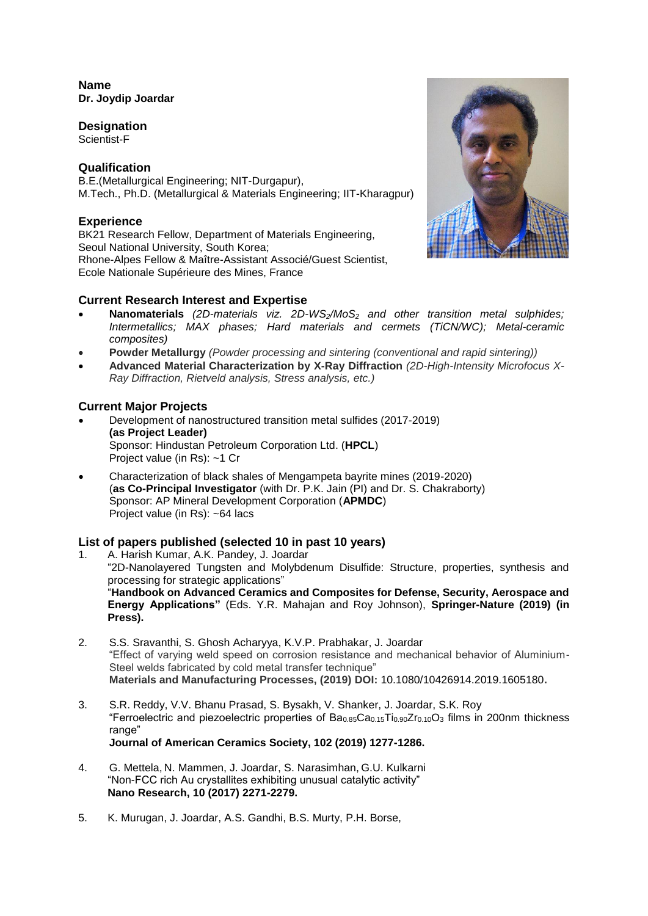### **Name Dr. Joydip Joardar**

## **Designation**

Scientist-F

# **Qualification**

B.E.(Metallurgical Engineering; NIT-Durgapur), M.Tech., Ph.D. (Metallurgical & Materials Engineering; IIT-Kharagpur)

# **Experience**

BK21 Research Fellow, Department of Materials Engineering, Seoul National University, South Korea; Rhone-Alpes Fellow & Maître-Assistant Associé/Guest Scientist, Ecole Nationale Supérieure des Mines, France

# **Current Research Interest and Expertise**

- **Nanomaterials** *(2D-materials viz. 2D-WS2/MoS<sup>2</sup> and other transition metal sulphides; Intermetallics; MAX phases; Hard materials and cermets (TiCN/WC); Metal-ceramic composites)*
- **Powder Metallurgy** *(Powder processing and sintering (conventional and rapid sintering))*
- **Advanced Material Characterization by X-Ray Diffraction** *(2D-High-Intensity Microfocus X-Ray Diffraction, Rietveld analysis, Stress analysis, etc.)*

# **Current Major Projects**

- Development of nanostructured transition metal sulfides (2017-2019) **(as Project Leader)** Sponsor: Hindustan Petroleum Corporation Ltd. (**HPCL**) Project value (in Rs): ~1 Cr
- Characterization of black shales of Mengampeta bayrite mines (2019-2020) (**as Co-Principal Investigator** (with Dr. P.K. Jain (PI) and Dr. S. Chakraborty) Sponsor: AP Mineral Development Corporation (**APMDC**) Project value (in Rs): ~64 lacs

## **List of papers published (selected 10 in past 10 years)**

- 1. A. Harish Kumar, A.K. Pandey, J. Joardar "2D-Nanolayered Tungsten and Molybdenum Disulfide: Structure, properties, synthesis and processing for strategic applications" "**Handbook on Advanced Ceramics and Composites for Defense, Security, Aerospace and Energy Applications"** (Eds. Y.R. Mahajan and Roy Johnson), **Springer-Nature (2019) (in Press).**
- 2. S.S. Sravanthi, S. Ghosh Acharyya, K.V.P. Prabhakar, J. Joardar "Effect of varying weld speed on corrosion resistance and mechanical behavior of Aluminium-Steel welds fabricated by cold metal transfer technique" **Materials and Manufacturing Processes, (2019) DOI:** 10.1080/10426914.2019.1605180**.**
- 3. S.R. Reddy, V.V. Bhanu Prasad, S. Bysakh, V. Shanker, J. Joardar, S.K. Roy "Ferroelectric and piezoelectric properties of  $Ba<sub>0.85</sub>Ca<sub>0.15</sub>Ti<sub>0.90</sub>Zr<sub>0.10</sub>O<sub>3</sub>$  films in 200nm thickness range" **Journal of American Ceramics Society, 102 (2019) 1277-1286.**
- 4. G. Mettela, N. Mammen, J. Joardar, S. Narasimhan, G.U. Kulkarni "Non-FCC rich Au crystallites exhibiting unusual catalytic activity" **Nano Research, 10 (2017) 2271-2279.**
- 5. K. Murugan, J. Joardar, A.S. Gandhi, B.S. Murty, P.H. Borse,

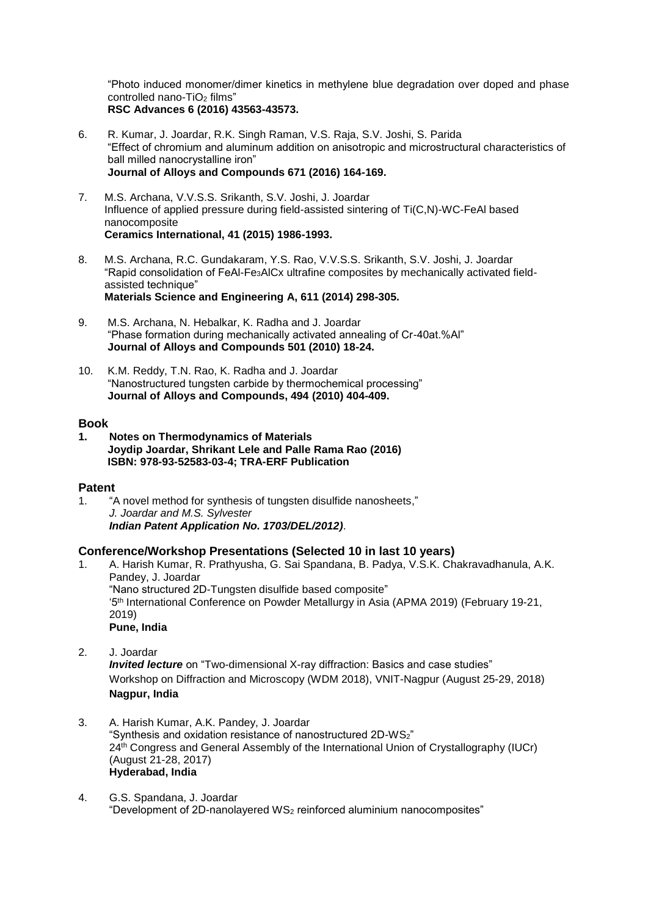"Photo induced monomer/dimer kinetics in methylene blue degradation over doped and phase controlled nano- $TiO<sub>2</sub>$  films" **RSC Advances 6 (2016) 43563-43573.**

- 6. R. Kumar, J. Joardar, R.K. Singh Raman, V.S. Raja, S.V. Joshi, S. Parida "Effect of chromium and aluminum addition on anisotropic and microstructural characteristics of ball milled nanocrystalline iron" **Journal of Alloys and Compounds 671 (2016) 164-169.**
- 7. M.S. Archana, V.V.S.S. Srikanth, S.V. Joshi, J. Joardar Influence of applied pressure during field-assisted sintering of Ti(C,N)-WC-FeAl based nanocomposite **Ceramics International, 41 (2015) 1986-1993.**
- 8. M.S. Archana, R.C. Gundakaram, Y.S. Rao, V.V.S.S. Srikanth, S.V. Joshi, J. Joardar "Rapid consolidation of FeAl-Fe3AlCx ultrafine composites by mechanically activated fieldassisted technique" **Materials Science and Engineering A, 611 (2014) 298-305.**
- 9. M.S. Archana, N. Hebalkar, K. Radha and J. Joardar "Phase formation during mechanically activated annealing of Cr-40at.%Al" **Journal of Alloys and Compounds 501 (2010) 18-24.**
- 10. K.M. Reddy, T.N. Rao, K. Radha and J. Joardar "Nanostructured tungsten carbide by thermochemical processing" **Journal of Alloys and Compounds, 494 (2010) 404-409.**

#### **Book**

**1. Notes on Thermodynamics of Materials Joydip Joardar, Shrikant Lele and Palle Rama Rao (2016) ISBN: 978-93-52583-03-4; TRA-ERF Publication**

## **Patent**

1. "A novel method for synthesis of tungsten disulfide nanosheets," *J. Joardar and M.S. Sylvester Indian Patent Application No. 1703/DEL/2012)*.

## **Conference/Workshop Presentations (Selected 10 in last 10 years)**

- 1. A. Harish Kumar, R. Prathyusha, G. Sai Spandana, B. Padya, V.S.K. Chakravadhanula, A.K. Pandey, J. Joardar "Nano structured 2D-Tungsten disulfide based composite" '5th International Conference on Powder Metallurgy in Asia (APMA 2019) (February 19-21, 2019) **Pune, India**
- 2. J. Joardar

*Invited lecture* on "Two-dimensional X-ray diffraction: Basics and case studies" Workshop on Diffraction and Microscopy (WDM 2018), VNIT-Nagpur (August 25-29, 2018) **Nagpur, India**

- 3. A. Harish Kumar, A.K. Pandey, J. Joardar "Synthesis and oxidation resistance of nanostructured 2D-WS2" 24<sup>th</sup> Congress and General Assembly of the International Union of Crystallography (IUCr) (August 21-28, 2017) **Hyderabad, India**
- 4. G.S. Spandana, J. Joardar "Development of 2D-nanolayered WS<sup>2</sup> reinforced aluminium nanocomposites"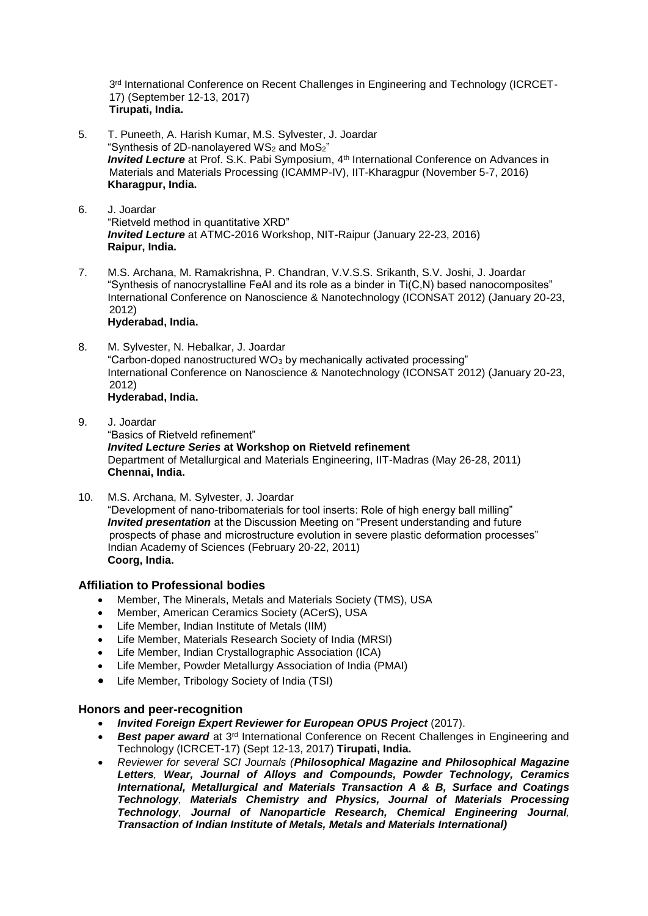3<sup>rd</sup> International Conference on Recent Challenges in Engineering and Technology (ICRCET-17) (September 12-13, 2017) **Tirupati, India.**

- 5. T. Puneeth, A. Harish Kumar, M.S. Sylvester, J. Joardar "Svnthesis of 2D-nanolayered WS<sub>2</sub> and MoS<sub>2</sub>" *Invited Lecture* at Prof. S.K. Pabi Symposium, 4<sup>th</sup> International Conference on Advances in Materials and Materials Processing (ICAMMP-IV), IIT-Kharagpur (November 5-7, 2016) **Kharagpur, India.**
- 6. J. Joardar "Rietveld method in quantitative XRD" *Invited Lecture* at ATMC-2016 Workshop, NIT-Raipur (January 22-23, 2016) **Raipur, India.**
- 7. M.S. Archana, M. Ramakrishna, P. Chandran, V.V.S.S. Srikanth, S.V. Joshi, J. Joardar "Synthesis of nanocrystalline FeAl and its role as a binder in Ti(C,N) based nanocomposites" International Conference on Nanoscience & Nanotechnology (ICONSAT 2012) (January 20-23, 2012)

### **Hyderabad, India.**

8. M. Sylvester, N. Hebalkar, J. Joardar "Carbon-doped nanostructured  $WO<sub>3</sub>$  by mechanically activated processing" International Conference on Nanoscience & Nanotechnology (ICONSAT 2012) (January 20-23, 2012)

**Hyderabad, India.**

9. J. Joardar

"Basics of Rietveld refinement" *Invited Lecture Series* **at Workshop on Rietveld refinement** Department of Metallurgical and Materials Engineering, IIT-Madras (May 26-28, 2011) **Chennai, India.**

10. M.S. Archana, M. Sylvester, J. Joardar "Development of nano-tribomaterials for tool inserts: Role of high energy ball milling" *Invited presentation* at the Discussion Meeting on "Present understanding and future prospects of phase and microstructure evolution in severe plastic deformation processes" Indian Academy of Sciences (February 20-22, 2011) **Coorg, India.**

## **Affiliation to Professional bodies**

- Member, The Minerals, Metals and Materials Society (TMS), USA
- Member, American Ceramics Society (ACerS), USA
- Life Member, Indian Institute of Metals (IIM)
- Life Member, Materials Research Society of India (MRSI)
- Life Member, Indian Crystallographic Association (ICA)
- Life Member, Powder Metallurgy Association of India (PMAI)
- Life Member, Tribology Society of India (TSI)

#### **Honors and peer-recognition**

- *Invited Foreign Expert Reviewer for European OPUS Project* (2017).
- **Best paper award** at 3<sup>rd</sup> International Conference on Recent Challenges in Engineering and Technology (ICRCET-17) (Sept 12-13, 2017) **Tirupati, India.**
- *Reviewer for several SCI Journals (Philosophical Magazine and Philosophical Magazine Letters, Wear, Journal of Alloys and Compounds, Powder Technology, Ceramics International, Metallurgical and Materials Transaction A & B, Surface and Coatings Technology, Materials Chemistry and Physics, Journal of Materials Processing Technology, Journal of Nanoparticle Research, Chemical Engineering Journal, Transaction of Indian Institute of Metals, Metals and Materials International)*